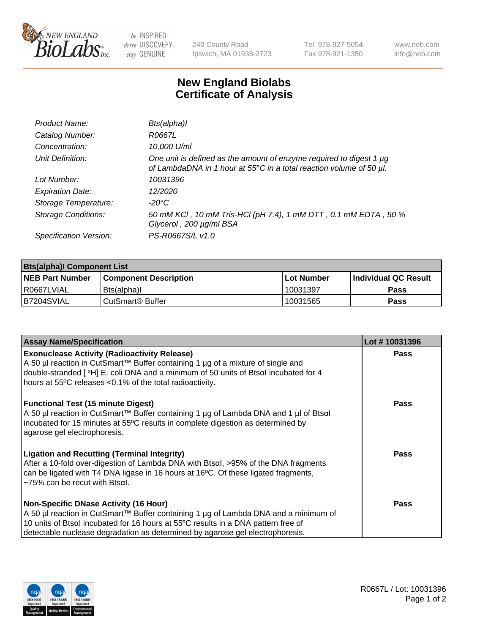

be INSPIRED drive DISCOVERY stay GENUINE

240 County Road Ipswich, MA 01938-2723 Tel 978-927-5054 Fax 978-921-1350 www.neb.com info@neb.com

## **New England Biolabs Certificate of Analysis**

| Product Name:              | Bts(alpha)I                                                                                                                                |
|----------------------------|--------------------------------------------------------------------------------------------------------------------------------------------|
| Catalog Number:            | R0667L                                                                                                                                     |
| Concentration:             | 10,000 U/ml                                                                                                                                |
| Unit Definition:           | One unit is defined as the amount of enzyme required to digest 1 µg<br>of LambdaDNA in 1 hour at 55°C in a total reaction volume of 50 µl. |
| Lot Number:                | 10031396                                                                                                                                   |
| <b>Expiration Date:</b>    | 12/2020                                                                                                                                    |
| Storage Temperature:       | -20°C                                                                                                                                      |
| <b>Storage Conditions:</b> | 50 mM KCI, 10 mM Tris-HCI (pH 7.4), 1 mM DTT, 0.1 mM EDTA, 50 %<br>Glycerol, 200 µg/ml BSA                                                 |
| Specification Version:     | PS-R0667S/L v1.0                                                                                                                           |

| <b>Bts(alpha)I Component List</b> |                              |                   |                             |  |  |
|-----------------------------------|------------------------------|-------------------|-----------------------------|--|--|
| <b>NEB Part Number</b>            | <b>Component Description</b> | <b>Lot Number</b> | <b>Individual QC Result</b> |  |  |
| I R0667LVIAL                      | Bts(alpha)I                  | 10031397          | <b>Pass</b>                 |  |  |
| B7204SVIAL                        | l CutSmart® Buffer_          | 10031565          | Pass                        |  |  |

| <b>Assay Name/Specification</b>                                                                                                                                                                                                                                                                           | Lot #10031396 |
|-----------------------------------------------------------------------------------------------------------------------------------------------------------------------------------------------------------------------------------------------------------------------------------------------------------|---------------|
| <b>Exonuclease Activity (Radioactivity Release)</b><br>A 50 µl reaction in CutSmart™ Buffer containing 1 µg of a mixture of single and<br>double-stranded [3H] E. coli DNA and a minimum of 50 units of Btsal incubated for 4<br>hours at 55°C releases <0.1% of the total radioactivity.                 | <b>Pass</b>   |
| <b>Functional Test (15 minute Digest)</b><br>A 50 µl reaction in CutSmart™ Buffer containing 1 µg of Lambda DNA and 1 µl of Btsαl<br>incubated for 15 minutes at 55°C results in complete digestion as determined by<br>agarose gel electrophoresis.                                                      | Pass          |
| <b>Ligation and Recutting (Terminal Integrity)</b><br>After a 10-fold over-digestion of Lambda DNA with Btsal, >95% of the DNA fragments<br>can be ligated with T4 DNA ligase in 16 hours at 16°C. Of these ligated fragments,<br>$\sim$ 75% can be recut with Btsal.                                     | Pass          |
| <b>Non-Specific DNase Activity (16 Hour)</b><br>A 50 µl reaction in CutSmart™ Buffer containing 1 µg of Lambda DNA and a minimum of<br>10 units of Btsal incubated for 16 hours at 55°C results in a DNA pattern free of<br>detectable nuclease degradation as determined by agarose gel electrophoresis. | Pass          |